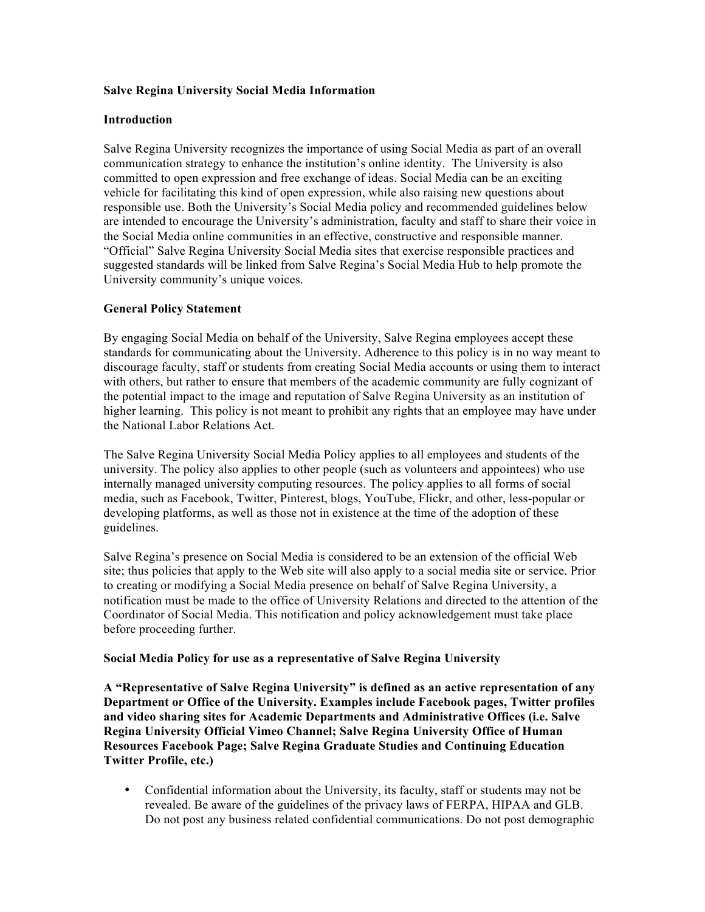## **Salve Regina University Social Media Information**

### **Introduction**

Salve Regina University recognizes the importance of using Social Media as part of an overall communication strategy to enhance the institution's online identity. The University is also committed to open expression and free exchange of ideas. Social Media can be an exciting vehicle for facilitating this kind of open expression, while also raising new questions about responsible use. Both the University's Social Media policy and recommended guidelines below are intended to encourage the University's administration, faculty and staff to share their voice in the Social Media online communities in an effective, constructive and responsible manner. "Official" Salve Regina University Social Media sites that exercise responsible practices and suggested standards will be linked from Salve Regina's Social Media Hub to help promote the University community's unique voices.

## **General Policy Statement**

By engaging Social Media on behalf of the University, Salve Regina employees accept these standards for communicating about the University. Adherence to this policy is in no way meant to discourage faculty, staff or students from creating Social Media accounts or using them to interact with others, but rather to ensure that members of the academic community are fully cognizant of the potential impact to the image and reputation of Salve Regina University as an institution of higher learning. This policy is not meant to prohibit any rights that an employee may have under the National Labor Relations Act.

The Salve Regina University Social Media Policy applies to all employees and students of the university. The policy also applies to other people (such as volunteers and appointees) who use internally managed university computing resources. The policy applies to all forms of social media, such as Facebook, Twitter, Pinterest, blogs, YouTube, Flickr, and other, less-popular or developing platforms, as well as those not in existence at the time of the adoption of these guidelines.

Salve Regina's presence on Social Media is considered to be an extension of the official Web site; thus policies that apply to the Web site will also apply to a social media site or service. Prior to creating or modifying a Social Media presence on behalf of Salve Regina University, a notification must be made to the office of University Relations and directed to the attention of the Coordinator of Social Media. This notification and policy acknowledgement must take place before proceeding further.

### **Social Media Policy for use as a representative of Salve Regina University**

**A "Representative of Salve Regina University" is defined as an active representation of any Department or Office of the University. Examples include Facebook pages, Twitter profiles and video sharing sites for Academic Departments and Administrative Offices (i.e. Salve Regina University Official Vimeo Channel; Salve Regina University Office of Human Resources Facebook Page; Salve Regina Graduate Studies and Continuing Education Twitter Profile, etc.)**

• Confidential information about the University, its faculty, staff or students may not be revealed. Be aware of the guidelines of the privacy laws of FERPA, HIPAA and GLB. Do not post any business related confidential communications. Do not post demographic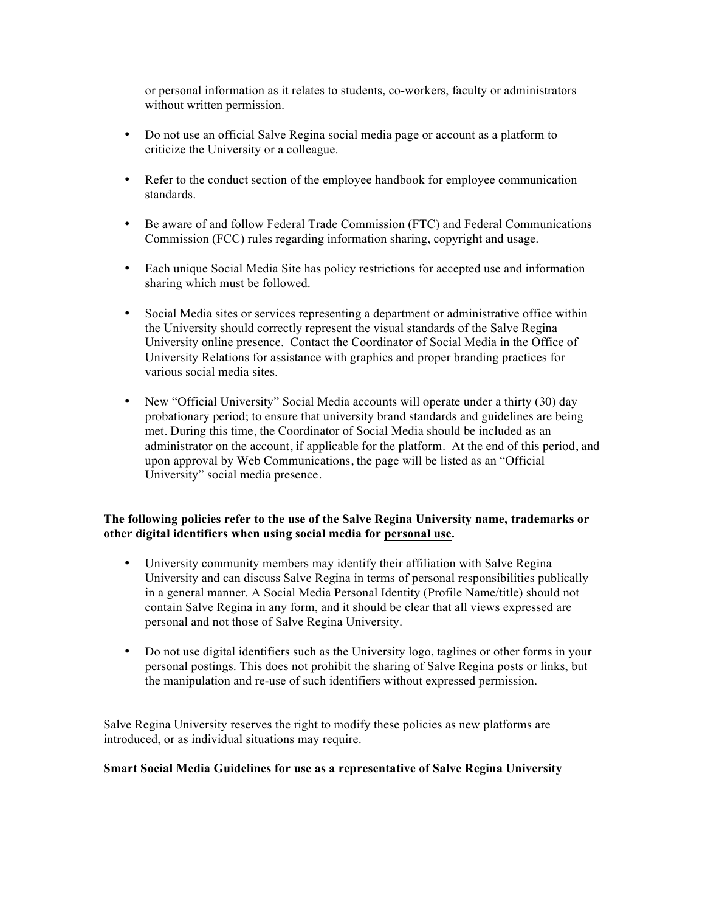or personal information as it relates to students, co-workers, faculty or administrators without written permission.

- Do not use an official Salve Regina social media page or account as a platform to criticize the University or a colleague.
- Refer to the conduct section of the employee handbook for employee communication standards.
- Be aware of and follow Federal Trade Commission (FTC) and Federal Communications Commission (FCC) rules regarding information sharing, copyright and usage.
- Each unique Social Media Site has policy restrictions for accepted use and information sharing which must be followed.
- Social Media sites or services representing a department or administrative office within the University should correctly represent the visual standards of the Salve Regina University online presence. Contact the Coordinator of Social Media in the Office of University Relations for assistance with graphics and proper branding practices for various social media sites.
- New "Official University" Social Media accounts will operate under a thirty (30) day probationary period; to ensure that university brand standards and guidelines are being met. During this time, the Coordinator of Social Media should be included as an administrator on the account, if applicable for the platform. At the end of this period, and upon approval by Web Communications, the page will be listed as an "Official University" social media presence.

# **The following policies refer to the use of the Salve Regina University name, trademarks or other digital identifiers when using social media for personal use.**

- University community members may identify their affiliation with Salve Regina University and can discuss Salve Regina in terms of personal responsibilities publically in a general manner. A Social Media Personal Identity (Profile Name/title) should not contain Salve Regina in any form, and it should be clear that all views expressed are personal and not those of Salve Regina University.
- Do not use digital identifiers such as the University logo, taglines or other forms in your personal postings. This does not prohibit the sharing of Salve Regina posts or links, but the manipulation and re-use of such identifiers without expressed permission.

Salve Regina University reserves the right to modify these policies as new platforms are introduced, or as individual situations may require.

## **Smart Social Media Guidelines for use as a representative of Salve Regina University**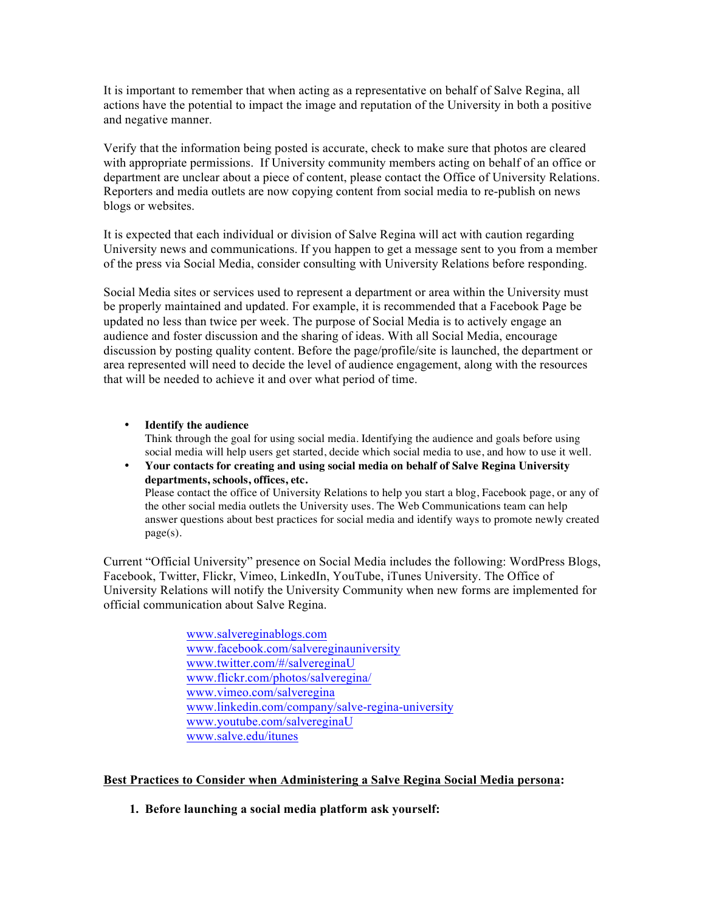It is important to remember that when acting as a representative on behalf of Salve Regina, all actions have the potential to impact the image and reputation of the University in both a positive and negative manner.

Verify that the information being posted is accurate, check to make sure that photos are cleared with appropriate permissions. If University community members acting on behalf of an office or department are unclear about a piece of content, please contact the Office of University Relations. Reporters and media outlets are now copying content from social media to re-publish on news blogs or websites.

It is expected that each individual or division of Salve Regina will act with caution regarding University news and communications. If you happen to get a message sent to you from a member of the press via Social Media, consider consulting with University Relations before responding.

Social Media sites or services used to represent a department or area within the University must be properly maintained and updated. For example, it is recommended that a Facebook Page be updated no less than twice per week. The purpose of Social Media is to actively engage an audience and foster discussion and the sharing of ideas. With all Social Media, encourage discussion by posting quality content. Before the page/profile/site is launched, the department or area represented will need to decide the level of audience engagement, along with the resources that will be needed to achieve it and over what period of time.

- **Identify the audience** Think through the goal for using social media. Identifying the audience and goals before using social media will help users get started, decide which social media to use, and how to use it well.
- **Your contacts for creating and using social media on behalf of Salve Regina University departments, schools, offices, etc.** Please contact the office of University Relations to help you start a blog, Facebook page, or any of the other social media outlets the University uses. The Web Communications team can help answer questions about best practices for social media and identify ways to promote newly created page(s).

Current "Official University" presence on Social Media includes the following: WordPress Blogs, Facebook, Twitter, Flickr, Vimeo, LinkedIn, YouTube, iTunes University. The Office of University Relations will notify the University Community when new forms are implemented for official communication about Salve Regina.

> www.salvereginablogs.com www.facebook.com/salvereginauniversity www.twitter.com/#/salvereginaU www.flickr.com/photos/salveregina/ www.vimeo.com/salveregina www.linkedin.com/company/salve-regina-university www.youtube.com/salvereginaU www.salve.edu/itunes

## **Best Practices to Consider when Administering a Salve Regina Social Media persona:**

**1. Before launching a social media platform ask yourself:**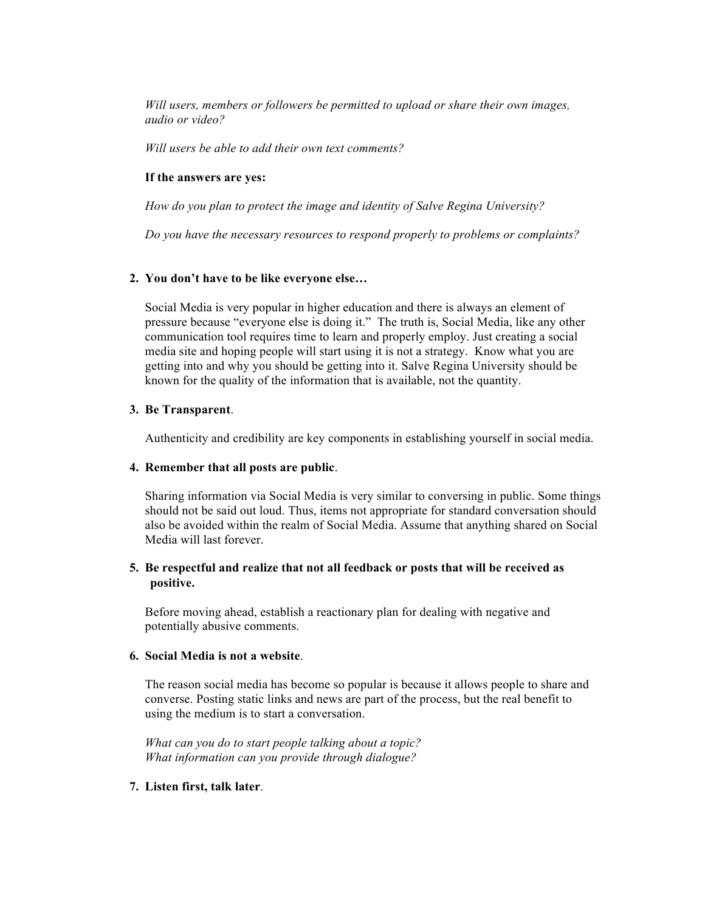*Will users, members or followers be permitted to upload or share their own images, audio or video?* 

*Will users be able to add their own text comments?*

### **If the answers are yes:**

*How do you plan to protect the image and identity of Salve Regina University?* 

*Do you have the necessary resources to respond properly to problems or complaints?*

## **2. You don't have to be like everyone else…**

Social Media is very popular in higher education and there is always an element of pressure because "everyone else is doing it." The truth is, Social Media, like any other communication tool requires time to learn and properly employ. Just creating a social media site and hoping people will start using it is not a strategy. Know what you are getting into and why you should be getting into it. Salve Regina University should be known for the quality of the information that is available, not the quantity.

#### **3. Be Transparent**.

Authenticity and credibility are key components in establishing yourself in social media.

#### **4. Remember that all posts are public**.

Sharing information via Social Media is very similar to conversing in public. Some things should not be said out loud. Thus, items not appropriate for standard conversation should also be avoided within the realm of Social Media. Assume that anything shared on Social Media will last forever.

## **5. Be respectful and realize that not all feedback or posts that will be received as positive.**

Before moving ahead, establish a reactionary plan for dealing with negative and potentially abusive comments.

#### **6. Social Media is not a website**.

The reason social media has become so popular is because it allows people to share and converse. Posting static links and news are part of the process, but the real benefit to using the medium is to start a conversation.

*What can you do to start people talking about a topic? What information can you provide through dialogue?*

#### **7. Listen first, talk later**.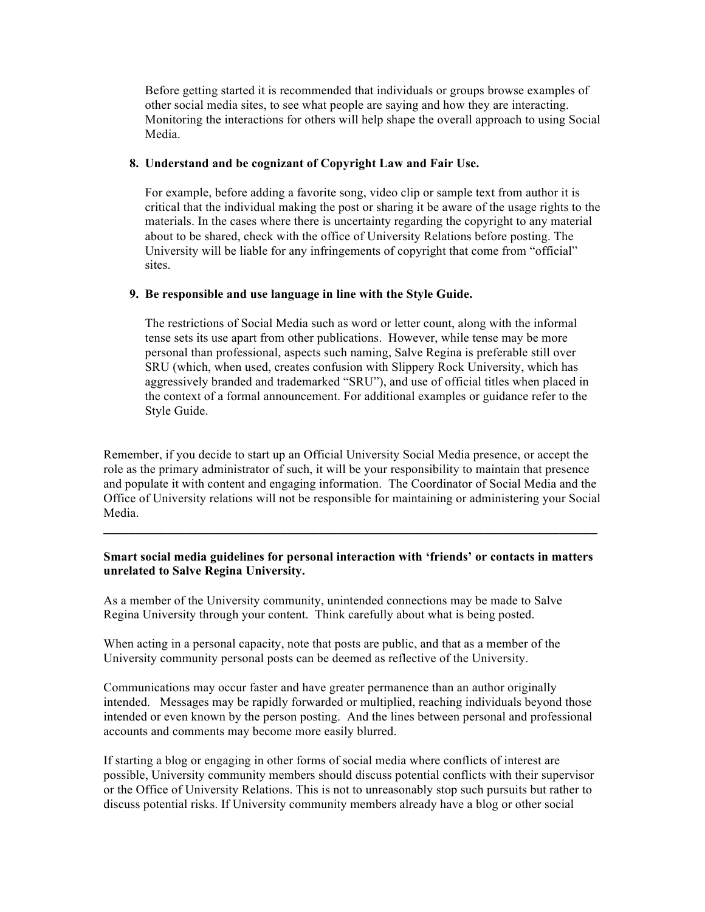Before getting started it is recommended that individuals or groups browse examples of other social media sites, to see what people are saying and how they are interacting. Monitoring the interactions for others will help shape the overall approach to using Social Media.

## **8. Understand and be cognizant of Copyright Law and Fair Use.**

For example, before adding a favorite song, video clip or sample text from author it is critical that the individual making the post or sharing it be aware of the usage rights to the materials. In the cases where there is uncertainty regarding the copyright to any material about to be shared, check with the office of University Relations before posting. The University will be liable for any infringements of copyright that come from "official" sites.

## **9. Be responsible and use language in line with the Style Guide.**

The restrictions of Social Media such as word or letter count, along with the informal tense sets its use apart from other publications. However, while tense may be more personal than professional, aspects such naming, Salve Regina is preferable still over SRU (which, when used, creates confusion with Slippery Rock University, which has aggressively branded and trademarked "SRU"), and use of official titles when placed in the context of a formal announcement. For additional examples or guidance refer to the Style Guide.

Remember, if you decide to start up an Official University Social Media presence, or accept the role as the primary administrator of such, it will be your responsibility to maintain that presence and populate it with content and engaging information. The Coordinator of Social Media and the Office of University relations will not be responsible for maintaining or administering your Social Media.

## **Smart social media guidelines for personal interaction with 'friends' or contacts in matters unrelated to Salve Regina University.**

 $\mathcal{L}_\mathcal{L} = \mathcal{L}_\mathcal{L} = \mathcal{L}_\mathcal{L} = \mathcal{L}_\mathcal{L} = \mathcal{L}_\mathcal{L} = \mathcal{L}_\mathcal{L} = \mathcal{L}_\mathcal{L} = \mathcal{L}_\mathcal{L} = \mathcal{L}_\mathcal{L} = \mathcal{L}_\mathcal{L} = \mathcal{L}_\mathcal{L} = \mathcal{L}_\mathcal{L} = \mathcal{L}_\mathcal{L} = \mathcal{L}_\mathcal{L} = \mathcal{L}_\mathcal{L} = \mathcal{L}_\mathcal{L} = \mathcal{L}_\mathcal{L}$ 

As a member of the University community, unintended connections may be made to Salve Regina University through your content. Think carefully about what is being posted.

When acting in a personal capacity, note that posts are public, and that as a member of the University community personal posts can be deemed as reflective of the University.

Communications may occur faster and have greater permanence than an author originally intended. Messages may be rapidly forwarded or multiplied, reaching individuals beyond those intended or even known by the person posting. And the lines between personal and professional accounts and comments may become more easily blurred.

If starting a blog or engaging in other forms of social media where conflicts of interest are possible, University community members should discuss potential conflicts with their supervisor or the Office of University Relations. This is not to unreasonably stop such pursuits but rather to discuss potential risks. If University community members already have a blog or other social